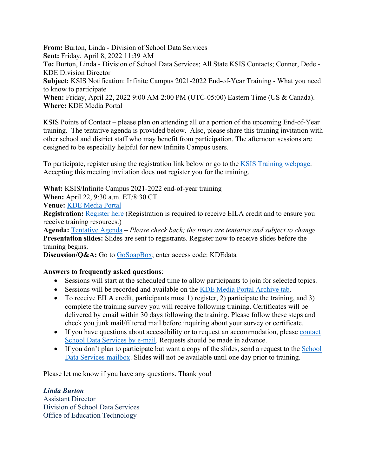**From:** Burton, Linda - Division of School Data Services **Sent:** Friday, April 8, 2022 11:39 AM **To:** Burton, Linda - Division of School Data Services; All State KSIS Contacts; Conner, Dede - KDE Division Director **Subject:** KSIS Notification: Infinite Campus 2021-2022 End-of-Year Training - What you need to know to participate **When:** Friday, April 22, 2022 9:00 AM-2:00 PM (UTC-05:00) Eastern Time (US & Canada). **Where:** KDE Media Portal

KSIS Points of Contact – please plan on attending all or a portion of the upcoming End-of-Year training. The tentative agenda is provided below. Also, please share this training invitation with other school and district staff who may benefit from participation. The afternoon sessions are designed to be especially helpful for new Infinite Campus users.

To participate, register using the registration link below or go to the [KSIS Training webpage.](https://education.ky.gov/districts/tech/sis/Pages/KSIS-Training.aspx) Accepting this meeting invitation does **not** register you for the training.

**What:** KSIS/Infinite Campus 2021-2022 end-of-year training

**When:** April 22, 9:30 a.m. ET/8:30 CT

**Venue:** [KDE Media Portal](http://mediaportal.education.ky.gov/watch-live/)

**Registration:** [Register here](https://www.surveymonkey.com/r/21-22_EOY_Registration) (Registration is required to receive EILA credit and to ensure you receive training resources.)

**Agenda:** [Tentative Agenda](https://education.ky.gov/districts/tech/sis/Documents/2021-22_KSIS_EoY_Training_Agenda.pdf) – *Please check back; the times are tentative and subject to change.* **Presentation slides:** Slides are sent to registrants. Register now to receive slides before the training begins.

Discussion/Q&A: Go to [GoSoapBox;](https://app.gosoapbox.com/) enter access code: KDEdata

## **Answers to frequently asked questions**:

- Sessions will start at the scheduled time to allow participants to join for selected topics.
- Sessions will be recorded and available on the [KDE Media Portal Archive tab.](https://mediaportal.education.ky.gov/archive/)
- To receive EILA credit, participants must 1) register, 2) participate the training, and 3) complete the training survey you will receive following training. Certificates will be delivered by email within 30 days following the training. Please follow these steps and check you junk mail/filtered mail before inquiring about your survey or certificate.
- If you have questions about accessibility or to request an accommodation, please [contact](mailto:kdedatarequest@education.ky.gov)  [School Data Services by e-mail.](mailto:kdedatarequest@education.ky.gov) Requests should be made in advance.
- If you don't plan to participate but want a copy of the slides, send a request to the School [Data Services mailbox.](mailto:kdedatarequest@education.ky.gov) Slides will not be available until one day prior to training.

Please let me know if you have any questions. Thank you!

## *Linda Burton*

Assistant Director Division of School Data Services Office of Education Technology